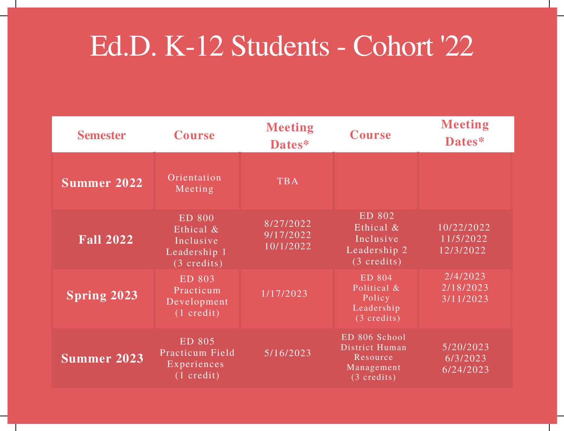## Ed.D. K-12 Students - Cohort '22

| <b>Semester</b>    | <b>Course</b>                                                                    | <b>Meeting</b><br>Dates*            | <b>Course</b>                                                                      | <b>Meeting</b><br>Dates*                    |
|--------------------|----------------------------------------------------------------------------------|-------------------------------------|------------------------------------------------------------------------------------|---------------------------------------------|
| <b>Summer 2022</b> | Orientation<br>Meeting                                                           | <b>TBA</b>                          |                                                                                    |                                             |
| <b>Fall 2022</b>   | <b>ED 800</b><br>Ethical &<br>Inclusive<br>Leadership 1<br>$(3 \text{ credits})$ | 8/27/2022<br>9/17/2022<br>10/1/2022 | ED 802<br>Ethical &<br>Inclusive<br>Leadership 2<br>$(3 \text{ credits})$          | 10/22/2022<br>11/5/2022<br>12/3/2022        |
| <b>Spring 2023</b> | ED 803<br>Practicum<br>Development<br>$(1 \text{ credit})$                       | 1/17/2023                           | ED 804<br>Political &<br>Policy<br>Leadership<br>$(3 \text{ credits})$             | 2/4/2023<br>2/18/2023<br>3/11/2023          |
| Summer 2023        | ED 805<br>Practicum Field<br>Experiences<br>$(1 \text{ credit})$                 | 5/16/2023                           | ED 806 School<br>District Human<br>Resource<br>Management<br>$(3 \text{ credits})$ | 5/20/2023<br>$\sqrt{6/3/2023}$<br>6/24/2023 |